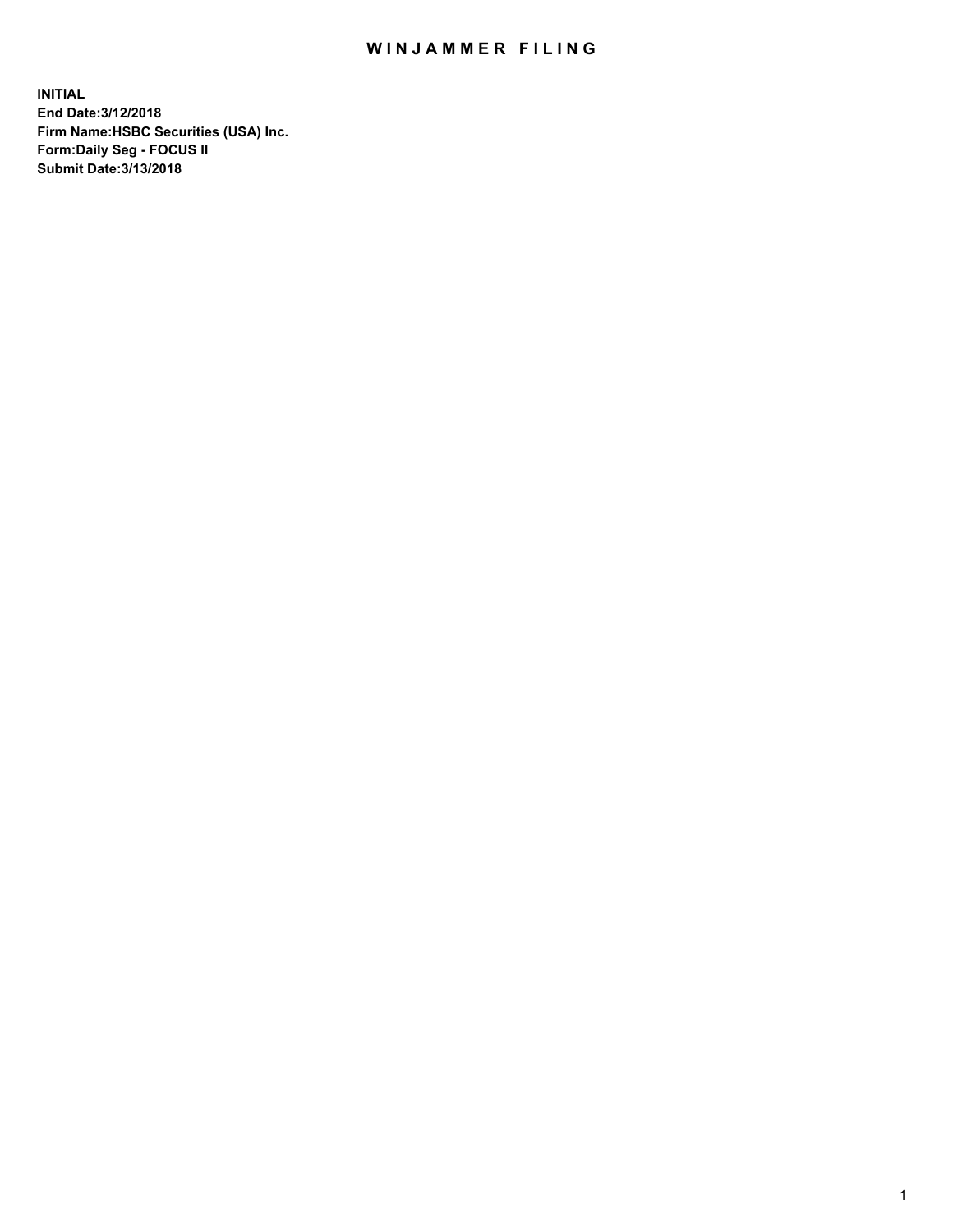## WIN JAMMER FILING

**INITIAL End Date:3/12/2018 Firm Name:HSBC Securities (USA) Inc. Form:Daily Seg - FOCUS II Submit Date:3/13/2018**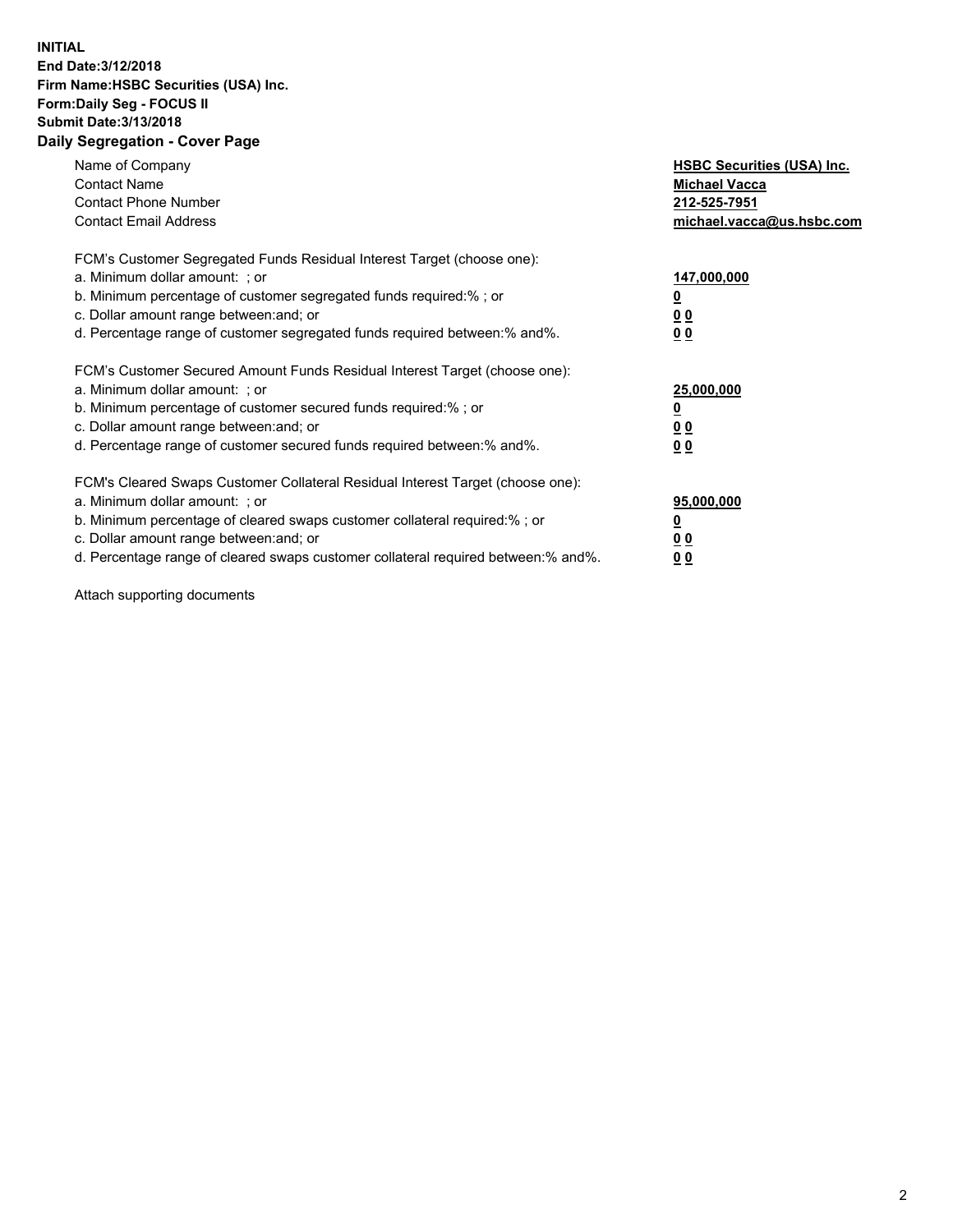## **INITIAL End Date:3/12/2018 Firm Name:HSBC Securities (USA) Inc. Form:Daily Seg - FOCUS II Submit Date:3/13/2018 Daily Segregation - Cover Page**

| Name of Company<br><b>Contact Name</b><br><b>Contact Phone Number</b><br><b>Contact Email Address</b>                                                                                                                                                                                                                         | <b>HSBC Securities (USA) Inc.</b><br><b>Michael Vacca</b><br>212-525-7951<br>michael.vacca@us.hsbc.com |
|-------------------------------------------------------------------------------------------------------------------------------------------------------------------------------------------------------------------------------------------------------------------------------------------------------------------------------|--------------------------------------------------------------------------------------------------------|
| FCM's Customer Segregated Funds Residual Interest Target (choose one):<br>a. Minimum dollar amount: ; or<br>b. Minimum percentage of customer segregated funds required:%; or<br>c. Dollar amount range between: and; or<br>d. Percentage range of customer segregated funds required between: % and %.                       | 147,000,000<br><u>0</u><br><u>00</u><br>0 <sub>0</sub>                                                 |
| FCM's Customer Secured Amount Funds Residual Interest Target (choose one):<br>a. Minimum dollar amount: ; or<br>b. Minimum percentage of customer secured funds required:%; or<br>c. Dollar amount range between: and; or<br>d. Percentage range of customer secured funds required between:% and%.                           | 25,000,000<br><u>0</u><br><u>0 0</u><br>00                                                             |
| FCM's Cleared Swaps Customer Collateral Residual Interest Target (choose one):<br>a. Minimum dollar amount: ; or<br>b. Minimum percentage of cleared swaps customer collateral required:%; or<br>c. Dollar amount range between: and; or<br>d. Percentage range of cleared swaps customer collateral required between:% and%. | 95,000,000<br><u>0</u><br><u>00</u><br>0 <sub>0</sub>                                                  |

Attach supporting documents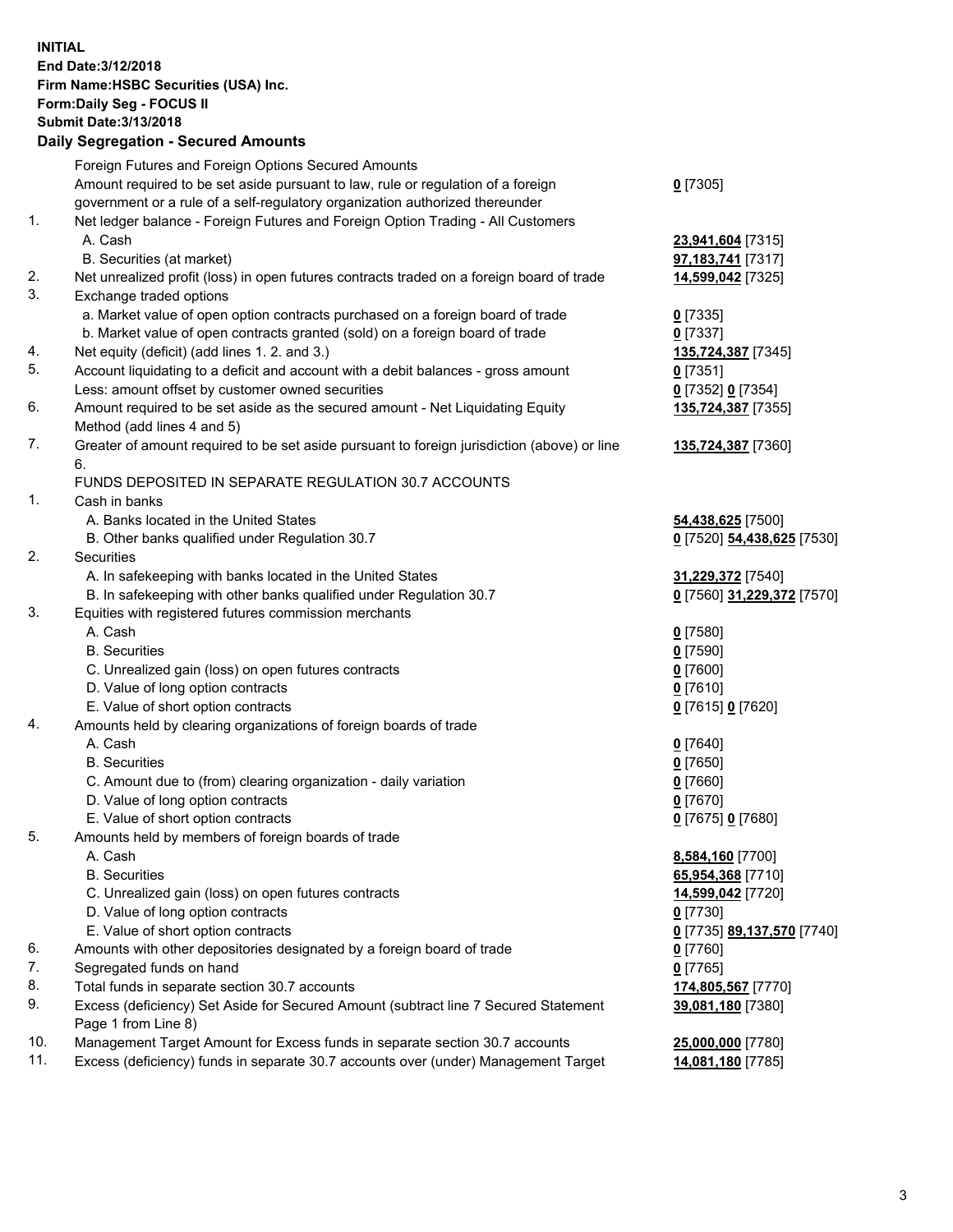**INITIAL End Date:3/12/2018 Firm Name:HSBC Securities (USA) Inc. Form:Daily Seg - FOCUS II Submit Date:3/13/2018 Daily Segregation - Secured Amounts**

|          | Foreign Futures and Foreign Options Secured Amounts                                                        |                            |
|----------|------------------------------------------------------------------------------------------------------------|----------------------------|
|          | Amount required to be set aside pursuant to law, rule or regulation of a foreign                           | $0$ [7305]                 |
|          | government or a rule of a self-regulatory organization authorized thereunder                               |                            |
| 1.       | Net ledger balance - Foreign Futures and Foreign Option Trading - All Customers                            |                            |
|          | A. Cash                                                                                                    | 23,941,604 [7315]          |
|          | B. Securities (at market)                                                                                  | 97, 183, 741 [7317]        |
| 2.       | Net unrealized profit (loss) in open futures contracts traded on a foreign board of trade                  | 14,599,042 [7325]          |
| 3.       | Exchange traded options                                                                                    |                            |
|          | a. Market value of open option contracts purchased on a foreign board of trade                             | $0$ [7335]                 |
|          | b. Market value of open contracts granted (sold) on a foreign board of trade                               | $0$ [7337]                 |
| 4.       | Net equity (deficit) (add lines 1.2. and 3.)                                                               | 135,724,387 [7345]         |
| 5.       | Account liquidating to a deficit and account with a debit balances - gross amount                          | $0$ [7351]                 |
|          | Less: amount offset by customer owned securities                                                           | 0 [7352] 0 [7354]          |
| 6.       | Amount required to be set aside as the secured amount - Net Liquidating Equity                             | 135,724,387 [7355]         |
|          | Method (add lines 4 and 5)                                                                                 |                            |
| 7.       | Greater of amount required to be set aside pursuant to foreign jurisdiction (above) or line                | 135,724,387 [7360]         |
|          | 6.                                                                                                         |                            |
|          | FUNDS DEPOSITED IN SEPARATE REGULATION 30.7 ACCOUNTS                                                       |                            |
| 1.       | Cash in banks                                                                                              |                            |
|          | A. Banks located in the United States                                                                      | 54,438,625 [7500]          |
|          | B. Other banks qualified under Regulation 30.7                                                             | 0 [7520] 54,438,625 [7530] |
| 2.       | Securities                                                                                                 |                            |
|          | A. In safekeeping with banks located in the United States                                                  | 31,229,372 [7540]          |
|          | B. In safekeeping with other banks qualified under Regulation 30.7                                         | 0 [7560] 31,229,372 [7570] |
| 3.       | Equities with registered futures commission merchants                                                      |                            |
|          | A. Cash                                                                                                    | $0$ [7580]                 |
|          | <b>B.</b> Securities                                                                                       | $0$ [7590]                 |
|          | C. Unrealized gain (loss) on open futures contracts                                                        | $0$ [7600]                 |
|          | D. Value of long option contracts                                                                          | $0$ [7610]                 |
|          | E. Value of short option contracts                                                                         | 0 [7615] 0 [7620]          |
| 4.       | Amounts held by clearing organizations of foreign boards of trade                                          |                            |
|          | A. Cash                                                                                                    | $0$ [7640]                 |
|          | <b>B.</b> Securities                                                                                       | $0$ [7650]                 |
|          | C. Amount due to (from) clearing organization - daily variation                                            | $0$ [7660]                 |
|          | D. Value of long option contracts                                                                          | $0$ [7670]                 |
|          | E. Value of short option contracts                                                                         | 0 [7675] 0 [7680]          |
| 5.       | Amounts held by members of foreign boards of trade                                                         |                            |
|          | A. Cash                                                                                                    | 8,584,160 [7700]           |
|          | <b>B.</b> Securities                                                                                       | 65,954,368 [7710]          |
|          | C. Unrealized gain (loss) on open futures contracts                                                        | 14,599,042 [7720]          |
|          | D. Value of long option contracts                                                                          | $0$ [7730]                 |
|          | E. Value of short option contracts                                                                         | 0 [7735] 89,137,570 [7740] |
| 6.       | Amounts with other depositories designated by a foreign board of trade                                     | $0$ [7760]                 |
| 7.<br>8. | Segregated funds on hand                                                                                   | $0$ [7765]                 |
| 9.       | Total funds in separate section 30.7 accounts                                                              | 174,805,567 [7770]         |
|          | Excess (deficiency) Set Aside for Secured Amount (subtract line 7 Secured Statement<br>Page 1 from Line 8) | 39,081,180 [7380]          |
| 10.      | Management Target Amount for Excess funds in separate section 30.7 accounts                                | 25,000,000 [7780]          |
| 11.      | Excess (deficiency) funds in separate 30.7 accounts over (under) Management Target                         | 14,081,180 [7785]          |
|          |                                                                                                            |                            |
|          |                                                                                                            |                            |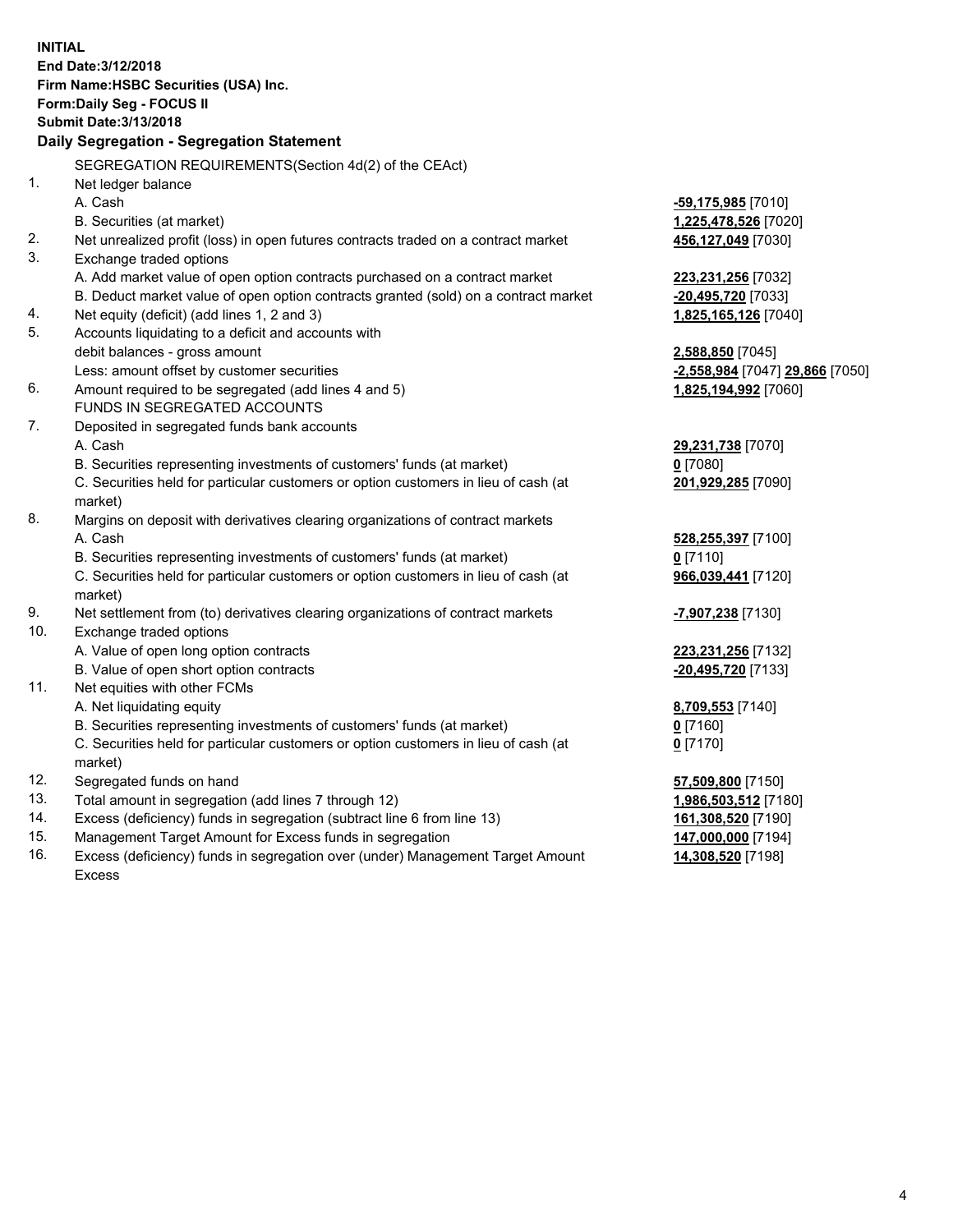**INITIAL End Date:3/12/2018 Firm Name:HSBC Securities (USA) Inc. Form:Daily Seg - FOCUS II Submit Date:3/13/2018 Daily Segregation - Segregation Statement** SEGREGATION REQUIREMENTS(Section 4d(2) of the CEAct) 1. Net ledger balance A. Cash **-59,175,985** [7010] B. Securities (at market) **1,225,478,526** [7020] 2. Net unrealized profit (loss) in open futures contracts traded on a contract market **456,127,049** [7030] 3. Exchange traded options A. Add market value of open option contracts purchased on a contract market **223,231,256** [7032] B. Deduct market value of open option contracts granted (sold) on a contract market **-20,495,720** [7033] 4. Net equity (deficit) (add lines 1, 2 and 3) **1,825,165,126** [7040] 5. Accounts liquidating to a deficit and accounts with debit balances - gross amount **2,588,850** [7045] Less: amount offset by customer securities **-2,558,984** [7047] **29,866** [7050] 6. Amount required to be segregated (add lines 4 and 5) **1,825,194,992** [7060] FUNDS IN SEGREGATED ACCOUNTS 7. Deposited in segregated funds bank accounts A. Cash **29,231,738** [7070] B. Securities representing investments of customers' funds (at market) **0** [7080] C. Securities held for particular customers or option customers in lieu of cash (at market) **201,929,285** [7090] 8. Margins on deposit with derivatives clearing organizations of contract markets A. Cash **528,255,397** [7100] B. Securities representing investments of customers' funds (at market) **0** [7110] C. Securities held for particular customers or option customers in lieu of cash (at market) **966,039,441** [7120] 9. Net settlement from (to) derivatives clearing organizations of contract markets **-7,907,238** [7130] 10. Exchange traded options A. Value of open long option contracts **223,231,256** [7132] B. Value of open short option contracts **-20,495,720** [7133] 11. Net equities with other FCMs A. Net liquidating equity **8,709,553** [7140] B. Securities representing investments of customers' funds (at market) **0** [7160] C. Securities held for particular customers or option customers in lieu of cash (at market) **0** [7170] 12. Segregated funds on hand **57,509,800** [7150] 13. Total amount in segregation (add lines 7 through 12) **1,986,503,512** [7180] 14. Excess (deficiency) funds in segregation (subtract line 6 from line 13) **161,308,520** [7190] 15. Management Target Amount for Excess funds in segregation **147,000,000** [7194]

16. Excess (deficiency) funds in segregation over (under) Management Target Amount Excess

**14,308,520** [7198]